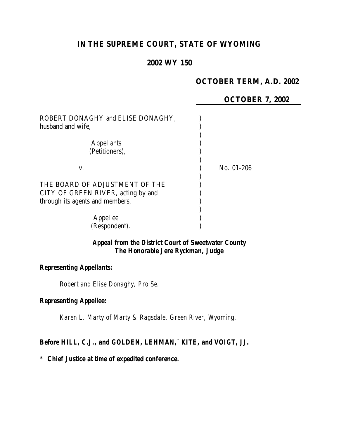# **IN THE SUPREME COURT, STATE OF WYOMING**

## **2002 WY 150**

# **OCTOBER TERM, A.D. 2002**

## **OCTOBER 7, 2002**

| ROBERT DONAGHY and ELISE DONAGHY,<br>husband and wife. |            |
|--------------------------------------------------------|------------|
| <b>Appellants</b>                                      |            |
| (Petitioners),                                         |            |
| V.                                                     | No. 01-206 |
| THE BOARD OF ADJUSTMENT OF THE                         |            |
| CITY OF GREEN RIVER, acting by and                     |            |
| through its agents and members,                        |            |
|                                                        |            |
| Appellee                                               |            |
| (Respondent).                                          |            |

## *Appeal from the District Court of Sweetwater County The Honorable Jere Ryckman, Judge*

#### *Representing Appellants:*

*Robert and Elise Donaghy, Pro Se.*

#### *Representing Appellee:*

*Karen L. Marty of Marty & Ragsdale, Green River, Wyoming.*

#### *Before HILL, C.J., and GOLDEN, LEHMAN,\* KITE, and VOIGT, JJ.*

#### *\* Chief Justice at time of expedited conference.*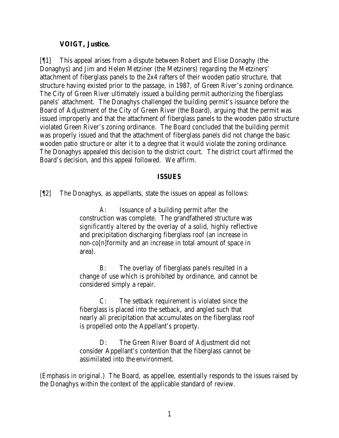#### **VOIGT, Justice.**

[¶1] This appeal arises from a dispute between Robert and Elise Donaghy (the Donaghys) and Jim and Helen Metziner (the Metziners) regarding the Metziners' attachment of fiberglass panels to the 2x4 rafters of their wooden patio structure, that structure having existed prior to the passage, in 1987, of Green River's zoning ordinance. The City of Green River ultimately issued a building permit authorizing the fiberglass panels' attachment. The Donaghys challenged the building permit's issuance before the Board of Adjustment of the City of Green River (the Board), arguing that the permit was issued improperly and that the attachment of fiberglass panels to the wooden patio structure violated Green River's zoning ordinance. The Board concluded that the building permit was properly issued and that the attachment of fiberglass panels did not change the basic wooden patio structure or alter it to a degree that it would violate the zoning ordinance. The Donaghys appealed this decision to the district court. The district court affirmed the Board's decision, and this appeal followed. We affirm.

#### **ISSUES**

[¶2] The Donaghys, as appellants, state the issues on appeal as follows:

A: Issuance of a building permit *after* the construction was complete. The grandfathered structure was *significantly altered* by the overlay of a solid, highly reflective and precipitation discharging fiberglass roof (an increase in non-co[n]formity and an increase in total amount of space in area).

B: The overlay of fiberglass panels resulted in a change of use which is prohibited by ordinance, and cannot be considered simply a repair.

C: The setback requirement is violated since the fiberglass is placed into the setback, and angled such that nearly all precipitation that accumulates on the fiberglass roof is propelled onto the Appellant's property.

D: The Green River Board of Adjustment did not consider Appellant's contention that the fiberglass cannot be assimilated into the environment.

(Emphasis in original.) The Board, as appellee, essentially responds to the issues raised by the Donaghys within the context of the applicable standard of review.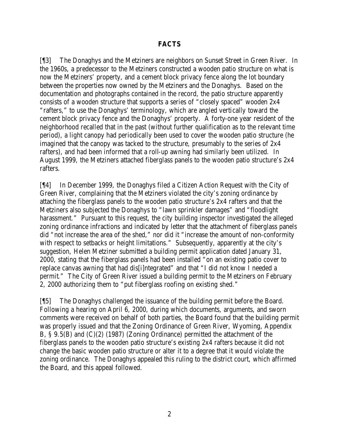### **FACTS**

[¶3] The Donaghys and the Metziners are neighbors on Sunset Street in Green River. In the 1960s, a predecessor to the Metziners constructed a wooden patio structure on what is now the Metziners' property, and a cement block privacy fence along the lot boundary between the properties now owned by the Metziners and the Donaghys. Based on the documentation and photographs contained in the record, the patio structure apparently consists of a wooden structure that supports a series of "closely spaced" wooden 2x4 "rafters," to use the Donaghys' terminology, which are angled vertically toward the cement block privacy fence and the Donaghys' property. A forty-one year resident of the neighborhood recalled that in the past (without further qualification as to the relevant time period), a light canopy had periodically been used to cover the wooden patio structure (he imagined that the canopy was tacked to the structure, presumably to the series of 2x4 rafters), and had been informed that a roll-up awning had similarly been utilized. In August 1999, the Metziners attached fiberglass panels to the wooden patio structure's 2x4 rafters.

[¶4] In December 1999, the Donaghys filed a Citizen Action Request with the City of Green River, complaining that the Metziners violated the city's zoning ordinance by attaching the fiberglass panels to the wooden patio structure's 2x4 rafters and that the Metziners also subjected the Donaghys to "lawn sprinkler damages" and "floodlight harassment." Pursuant to this request, the city building inspector investigated the alleged zoning ordinance infractions and indicated by letter that the attachment of fiberglass panels did "not increase the area of the shed," nor did it "increase the amount of non-conformity with respect to setbacks or height limitations." Subsequently, apparently at the city's suggestion, Helen Metziner submitted a building permit application dated January 31, 2000, stating that the fiberglass panels had been installed "on an existing patio cover to replace canvas awning that had dis[i]ntegrated" and that "I did not know I needed a permit." The City of Green River issued a building permit to the Metziners on February 2, 2000 authorizing them to "put fiberglass roofing on existing shed."

[¶5] The Donaghys challenged the issuance of the building permit before the Board. Following a hearing on April 6, 2000, during which documents, arguments, and sworn comments were received on behalf of both parties, the Board found that the building permit was properly issued and that the Zoning Ordinance of Green River, Wyoming, Appendix B, § 9.5(B) and (C)(2) (1987) (Zoning Ordinance) permitted the attachment of the fiberglass panels to the wooden patio structure's existing 2x4 rafters because it did not change the basic wooden patio structure or alter it to a degree that it would violate the zoning ordinance. The Donaghys appealed this ruling to the district court, which affirmed the Board, and this appeal followed.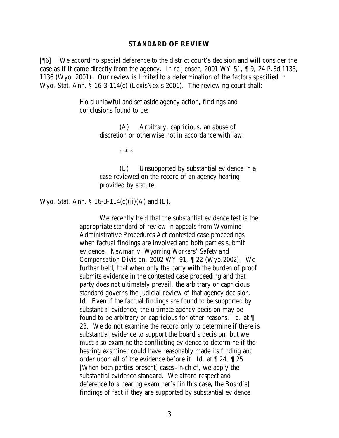#### **STANDARD OF REVIEW**

[¶6] We accord no special deference to the district court's decision and will consider the case as if it came directly from the agency. *In re Jensen*, 2001 WY 51, ¶ 9, 24 P.3d 1133, 1136 (Wyo. 2001). Our review is limited to a determination of the factors specified in Wyo. Stat. Ann. § 16-3-114(c) (LexisNexis 2001). The reviewing court shall:

> Hold unlawful and set aside agency action, findings and conclusions found to be:

> > (A) Arbitrary, capricious, an abuse of discretion or otherwise not in accordance with law;

> > > \* \* \*

(E) Unsupported by substantial evidence in a case reviewed on the record of an agency hearing provided by statute.

Wyo. Stat. Ann. § 16-3-114(c)(ii)(A) and  $(E)$ .

We recently held that the substantial evidence test is the appropriate standard of review in appeals from Wyoming Administrative Procedures Act contested case proceedings when factual findings are involved and both parties submit evidence. *Newman v. Wyoming Workers' Safety and Compensation Division*, 2002 WY 91, ¶ 22 (Wyo.2002). We further held, that when only the party with the burden of proof submits evidence in the contested case proceeding and that party does not ultimately prevail, the arbitrary or capricious standard governs the judicial review of that agency decision. *Id.* Even if the factual findings are found to be supported by substantial evidence, the ultimate agency decision may be found to be arbitrary or capricious for other reasons. *Id.* at ¶ 23. We do not examine the record only to determine if there is substantial evidence to support the board's decision, but we must also examine the conflicting evidence to determine if the hearing examiner could have reasonably made its finding and order upon all of the evidence before it. *Id.* at ¶ 24, ¶ 25. [When both parties present] cases-in-chief, we apply the substantial evidence standard. We afford respect and deference to a hearing examiner's [in this case, the Board's] findings of fact if they are supported by substantial evidence.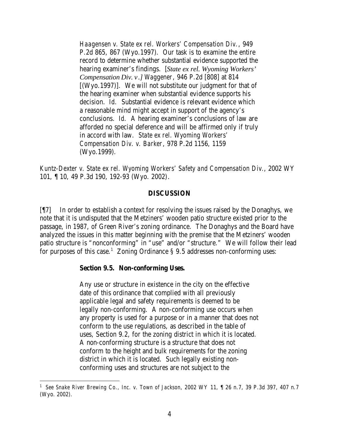*Haagensen v. State ex rel. Workers' Compensation Div.*, 949 P.2d 865, 867 (Wyo.1997). Our task is to examine the entire record to determine whether substantial evidence supported the hearing examiner's findings. [*State ex rel. Wyoming Workers' Compensation Div. v.] Waggener*, 946 P.2d [808] at 814 [(Wyo.1997)]. We will not substitute our judgment for that of the hearing examiner when substantial evidence supports his decision. *Id.* Substantial evidence is relevant evidence which a reasonable mind might accept in support of the agency's conclusions. *Id.* A hearing examiner's conclusions of law are afforded no special deference and will be affirmed only if truly in accord with law. *State ex rel. Wyoming Workers' Compensation Div. v. Barker*, 978 P.2d 1156, 1159 (Wyo.1999).

*Kuntz-Dexter v. State ex rel. Wyoming Workers' Safety and Compensation Div.*, 2002 WY 101, ¶ 10, 49 P.3d 190, 192-93 (Wyo. 2002).

#### **DISCUSSION**

[¶7] In order to establish a context for resolving the issues raised by the Donaghys, we note that it is undisputed that the Metziners' wooden patio structure existed prior to the passage, in 1987, of Green River's zoning ordinance. The Donaghys and the Board have analyzed the issues in this matter beginning with the premise that the Metziners' wooden patio structure is "nonconforming" in "use" and/or "structure." We will follow their lead for purposes of this case.<sup>1</sup> Zoning Ordinance  $\S 9.5$  addresses non-conforming uses:

#### **Section 9.5. Non-conforming Uses.**

Any use or structure in existence in the city on the effective date of this ordinance that complied with all previously applicable legal and safety requirements is deemed to be legally non-conforming. A non-conforming use occurs when any property is used for a purpose or in a manner that does not conform to the use regulations, as described in the table of uses, Section 9.2, for the zoning district in which it is located. A non-conforming structure is a structure that does not conform to the height and bulk requirements for the zoning district in which it is located. Such legally existing nonconforming uses and structures are not subject to the

<sup>1</sup> *See Snake River Brewing Co., Inc. v. Town of Jackson*, 2002 WY 11, ¶ 26 n.7, 39 P.3d 397, 407 n.7 (Wyo. 2002).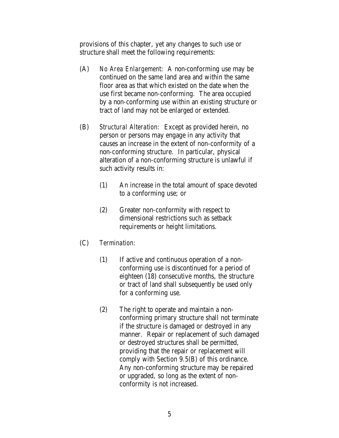provisions of this chapter, yet any changes to such use or structure shall meet the following requirements:

- (A) *No Area Enlargement:* A non-conforming use may be continued on the same land area and within the same floor area as that which existed on the date when the use first became non-conforming. The area occupied by a non-conforming use within an existing structure or tract of land may not be enlarged or extended.
- (B) *Structural Alteration:* Except as provided herein, no person or persons may engage in any activity that causes an increase in the extent of non-conformity of a non-conforming structure. In particular, physical alteration of a non-conforming structure is unlawful if such activity results in:
	- (1) An increase in the total amount of space devoted to a conforming use; or
	- (2) Greater non-conformity with respect to dimensional restrictions such as setback requirements or height limitations.
- (C) *Termination:*
	- (1) If active and continuous operation of a nonconforming use is discontinued for a period of eighteen (18) consecutive months, the structure or tract of land shall subsequently be used only for a conforming use.
	- (2) The right to operate and maintain a nonconforming primary structure shall not terminate if the structure is damaged or destroyed in any manner. Repair or replacement of such damaged or destroyed structures shall be permitted, providing that the repair or replacement will comply with Section 9.5(B) of this ordinance. Any non-conforming structure may be repaired or upgraded, so long as the extent of nonconformity is not increased.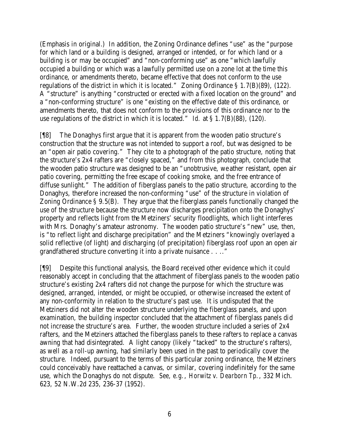(Emphasis in original.) In addition, the Zoning Ordinance defines "use" as the "purpose for which land or a building is designed, arranged or intended, or for which land or a building is or may be occupied" and "non-conforming use" as one "which lawfully occupied a building or which was a lawfully permitted use on a zone lot at the time this ordinance, or amendments thereto, became effective that does not conform to the use regulations of the district in which it is located." Zoning Ordinance § 1.7(B)(89), (122). A "structure" is anything "constructed or erected with a fixed location on the ground" and a "non-conforming structure" is one "existing on the effective date of this ordinance, or amendments thereto, that does not conform to the provisions of this ordinance nor to the use regulations of the district in which it is located." *Id.* at § 1.7(B)(88), (120).

[¶8] The Donaghys first argue that it is apparent from the wooden patio structure's construction that the structure was not intended to support a roof, but was designed to be an "open air patio covering." They cite to a photograph of the patio structure, noting that the structure's 2x4 rafters are "closely spaced," and from this photograph, conclude that the wooden patio structure was designed to be an "unobtrusive, we ather resistant, open air patio covering, permitting the free escape of cooking smoke, and the free entrance of diffuse sunlight." The addition of fiberglass panels to the patio structure, according to the Donaghys, therefore increased the non-conforming "use" of the structure in violation of Zoning Ordinance § 9.5(B). They argue that the fiberglass panels functionally changed the use of the structure because the structure now discharges precipitation onto the Donaghys' property and reflects light from the Metziners' security floodlights, which light interferes with Mrs. Donaghy's amateur astronomy. The wooden patio structure's "new" use, then, is "to reflect light and discharge precipitation" and the Metziners "knowingly overlayed a solid reflective (of light) and discharging (of precipitation) fiberglass roof upon an open air grandfathered structure converting it into a private nuisance . . .."

[¶9] Despite this functional analysis, the Board received other evidence which it could reasonably accept in concluding that the attachment of fiberglass panels to the wooden patio structure's existing 2x4 rafters did not change the purpose for which the structure was designed, arranged, intended, or might be occupied, or otherwise increased the extent of any non-conformity in relation to the structure's past use. It is undisputed that the Metziners did not alter the wooden structure underlying the fiberglass panels, and upon examination, the building inspector concluded that the attachment of fiberglass panels did not increase the structure's area. Further, the wooden structure included a series of 2x4 rafters, and the Metziners attached the fiberglass panels to these rafters to replace a canvas awning that had disintegrated. A light canopy (likely "tacked" to the structure's rafters), as well as a roll-up awning, had similarly been used in the past to periodically cover the structure. Indeed, pursuant to the terms of this particular zoning ordinance, the Metziners could conceivably have reattached a canvas, or similar, covering indefinitely for the same use, which the Donaghys do not dispute. *See, e.g.*, *Horwitz v. Dearborn Tp.*, 332 Mich. 623, 52 N.W.2d 235, 236-37 (1952).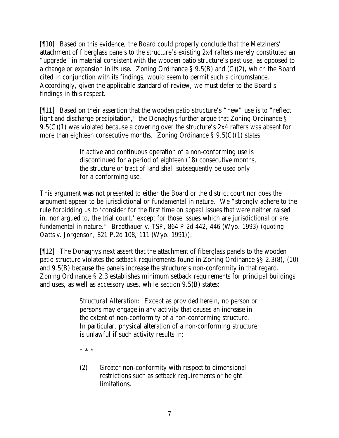[¶10] Based on this evidence, the Board could properly conclude that the Metziners' attachment of fiberglass panels to the structure's existing 2x4 rafters merely constituted an "upgrade" in material consistent with the wooden patio structure's past use, as opposed to a change or expansion in its use. Zoning Ordinance § 9.5(B) and (C)(2), which the Board cited in conjunction with its findings, would seem to permit such a circumstance. Accordingly, given the applicable standard of review, we must defer to the Board's findings in this respect.

[¶11] Based on their assertion that the wooden patio structure's "new" use is to "reflect light and discharge precipitation," the Donaghys further argue that Zoning Ordinance § 9.5(C)(1) was violated because a covering over the structure's 2x4 rafters was absent for more than eighteen consecutive months. Zoning Ordinance  $\S 9.5(C)(1)$  states:

> If active and continuous operation of a non-conforming use is discontinued for a period of eighteen (18) consecutive months, the structure or tract of land shall subsequently be used only for a conforming use.

This argument was not presented to either the Board or the district court nor does the argument appear to be jurisdictional or fundamental in nature. We "strongly adhere to the rule forbidding us to 'consider for the first time on appeal issues that were neither raised in, nor argued to, the trial court,' except for those issues which are jurisdictional or are fundamental in nature." *Bredthauer v. TSP*, 864 P.2d 442, 446 (Wyo. 1993) (*quoting Oatts v. Jorgenson*, 821 P.2d 108, 111 (Wyo. 1991)).

[¶12] The Donaghys next assert that the attachment of fiberglass panels to the wooden patio structure violates the setback requirements found in Zoning Ordinance §§ 2.3(8), (10) and 9.5(B) because the panels increase the structure's non-conformity in that regard. Zoning Ordinance § 2.3 establishes minimum setback requirements for principal buildings and uses, as well as accessory uses, while section 9.5(B) states:

> *Structural Alteration:* Except as provided herein, no person or persons may engage in any activity that causes an increase in the extent of non-conformity of a non-conforming structure. In particular, physical alteration of a non-conforming structure is unlawful if such activity results in:

\* \* \*

(2) Greater non-conformity with respect to dimensional restrictions such as setback requirements or height limitations.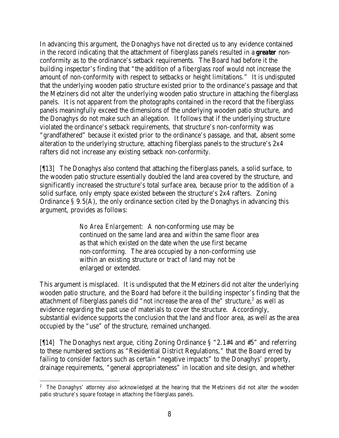In advancing this argument, the Donaghys have not directed us to any evidence contained in the record indicating that the attachment of fiberglass panels resulted in a *greater* nonconformity as to the ordinance's setback requirements. The Board had before it the building inspector's finding that "the addition of a fiberglass roof would not increase the amount of non-conformity with respect to setbacks or height limitations." It is undisputed that the underlying wooden patio structure existed prior to the ordinance's passage and that the Metziners did not alter the underlying wooden patio structure in attaching the fiberglass panels. It is not apparent from the photographs contained in the record that the fiberglass panels meaningfully exceed the dimensions of the underlying wooden patio structure, and the Donaghys do not make such an allegation. It follows that if the underlying structure violated the ordinance's setback requirements, that structure's non-conformity was "grandfathered" because it existed prior to the ordinance's passage, and that, absent some alteration to the underlying structure, attaching fiberglass panels to the structure's 2x4 rafters did not increase any existing setback non-conformity.

[¶13] The Donaghys also contend that attaching the fiberglass panels, a solid surface, to the wooden patio structure essentially doubled the land area covered by the structure, and significantly increased the structure's total surface area, because prior to the addition of a solid surface, only empty space existed between the structure's 2x4 rafters. Zoning Ordinance § 9.5(A), the only ordinance section cited by the Donaghys in advancing this argument, provides as follows:

> *No Area Enlargement:* A non-conforming use may be continued on the same land area and within the same floor area as that which existed on the date when the use first became non-conforming. The area occupied by a non-conforming use within an existing structure or tract of land may not be enlarged or extended.

This argument is misplaced. It is undisputed that the Metziners did not alter the underlying wooden patio structure, and the Board had before it the building inspector's finding that the attachment of fiberglass panels did "not increase the area of the" structure, $2$  as well as evidence regarding the past use of materials to cover the structure. Accordingly, substantial evidence supports the conclusion that the land and floor area, as well as the area occupied by the "use" of the structure, remained unchanged.

[¶14] The Donaghys next argue, citing Zoning Ordinance § "2.1#4 and #5" and referring to these numbered sections as "Residential District Regulations," that the Board erred by failing to consider factors such as certain "negative impacts" to the Donaghys' property, drainage requirements, "general appropriateness" in location and site design, and whether

 <sup>2</sup> The Donaghys' attorney also acknowledged at the hearing that the Metziners did not alter the wooden patio structure's square footage in attaching the fiberglass panels.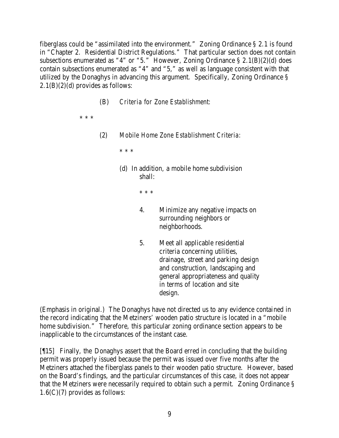fiberglass could be "assimilated into the environment." Zoning Ordinance § 2.1 is found in "Chapter 2. Residential District Regulations." That particular section does not contain subsections enumerated as "4" or "5." However, Zoning Ordinance § 2.1(B)(2)(d) does contain subsections enumerated as "4" and "5," as well as language consistent with that utilized by the Donaghys in advancing this argument. Specifically, Zoning Ordinance §  $2.1(B)(2)(d)$  provides as follows:

(B) *Criteria for Zone Establishment:*

\* \* \*

(2) *Mobile Home Zone Establishment Criteria:*

\* \* \*

(d) In addition, a mobile home subdivision shall:

\* \* \*

- 4. Minimize any negative impacts on surrounding neighbors or neighborhoods.
- 5. Meet all applicable residential criteria concerning utilities, drainage, street and parking design and construction, landscaping and general appropriateness and quality in terms of location and site design.

(Emphasis in original.) The Donaghys have not directed us to any evidence contained in the record indicating that the Metziners' wooden patio structure is located in a "mobile home subdivision." Therefore, this particular zoning ordinance section appears to be inapplicable to the circumstances of the instant case.

[¶15] Finally, the Donaghys assert that the Board erred in concluding that the building permit was properly issued because the permit was issued over five months after the Metziners attached the fiberglass panels to their wooden patio structure. However, based on the Board's findings, and the particular circumstances of this case, it does not appear that the Metziners were necessarily required to obtain such a permit. Zoning Ordinance § 1.6(C)(7) provides as follows: